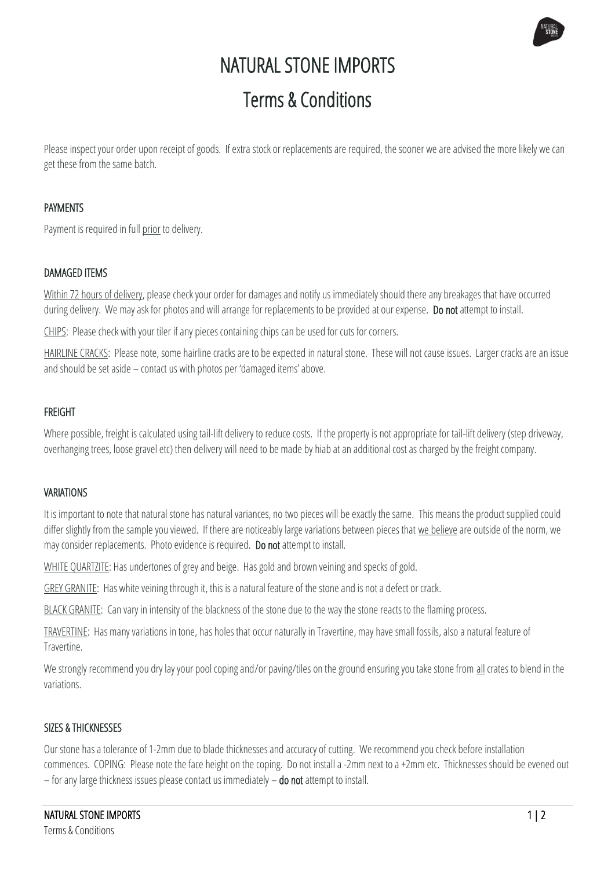# NATURAL STONE IMPORTS Terms & Conditions

Please inspect your order upon receipt of goods. If extra stock or replacements are required, the sooner we are advised the more likely we can get these from the same batch.

# PAYMENTS

Payment is required in full prior to delivery.

# DAMAGED ITEMS

Within 72 hours of delivery, please check your order for damages and notify us immediately should there any breakages that have occurred during delivery. We may ask for photos and will arrange for replacements to be provided at our expense. Do not attempt to install.

CHIPS: Please check with your tiler if any pieces containing chips can be used for cuts for corners.

HAIRLINE CRACKS: Please note, some hairline cracks are to be expected in natural stone. These will not cause issues. Larger cracks are an issue and should be set aside – contact us with photos per 'damaged items' above.

# FREIGHT

Where possible, freight is calculated using tail-lift delivery to reduce costs. If the property is not appropriate for tail-lift delivery (step driveway, overhanging trees, loose gravel etc) then delivery will need to be made by hiab at an additional cost as charged by the freight company.

## VARIATIONS

It is important to note that natural stone has natural variances, no two pieces will be exactly the same. This means the product supplied could differ slightly from the sample you viewed. If there are noticeably large variations between pieces that we believe are outside of the norm, we may consider replacements. Photo evidence is required. Do not attempt to install.

WHITE QUARTZITE: Has undertones of grey and beige. Has gold and brown veining and specks of gold.

GREY GRANITE: Has white veining through it, this is a natural feature of the stone and is not a defect or crack.

BLACK GRANITE: Can vary in intensity of the blackness of the stone due to the way the stone reacts to the flaming process.

TRAVERTINE: Has many variations in tone, has holes that occur naturally in Travertine, may have small fossils, also a natural feature of **Travertine** 

We strongly recommend you dry lay your pool coping and/or paving/tiles on the ground ensuring you take stone from all crates to blend in the variations.

## SIZES & THICKNESSES

Our stone has a tolerance of 1-2mm due to blade thicknesses and accuracy of cutting. We recommend you check before installation commences. COPING: Please note the face height on the coping. Do not install a-2mm next to a +2mm etc. Thicknesses should be evened out – for any large thickness issues please contact us immediately  $-$  do not attempt to install.